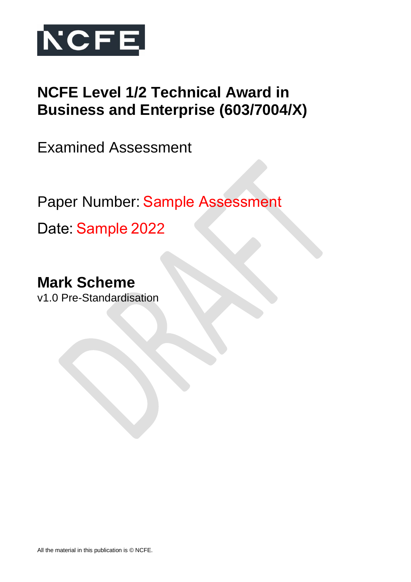

# **NCFE Level 1/2 Technical Award in Business and Enterprise (603/7004/X)**

Examined Assessment

Paper Number: Sample Assessment 

Date: Sample 2022

**Mark Scheme** v1.0 Pre-Standardisation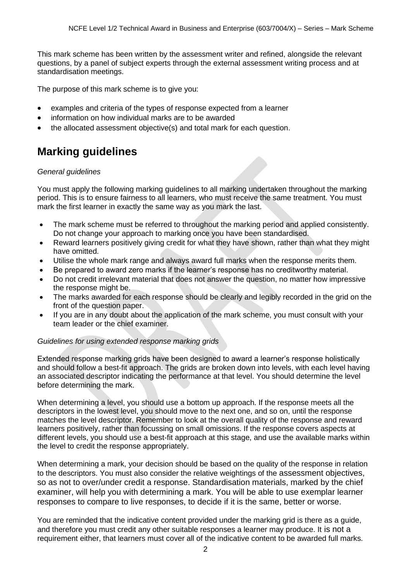This mark scheme has been written by the assessment writer and refined, alongside the relevant questions, by a panel of subject experts through the external assessment writing process and at standardisation meetings.

The purpose of this mark scheme is to give you:

- examples and criteria of the types of response expected from a learner
- information on how individual marks are to be awarded
- the allocated assessment objective(s) and total mark for each question.

# **Marking guidelines**

#### *General guidelines*

You must apply the following marking guidelines to all marking undertaken throughout the marking period. This is to ensure fairness to all learners, who must receive the same treatment. You must mark the first learner in exactly the same way as you mark the last.

- The mark scheme must be referred to throughout the marking period and applied consistently. Do not change your approach to marking once you have been standardised.
- Reward learners positively giving credit for what they have shown, rather than what they might have omitted.
- Utilise the whole mark range and always award full marks when the response merits them.
- Be prepared to award zero marks if the learner's response has no creditworthy material.
- Do not credit irrelevant material that does not answer the question, no matter how impressive the response might be.
- The marks awarded for each response should be clearly and legibly recorded in the grid on the front of the question paper.
- If you are in any doubt about the application of the mark scheme, you must consult with your team leader or the chief examiner.

#### *Guidelines for using extended response marking grids*

Extended response marking grids have been designed to award a learner's response holistically and should follow a best-fit approach. The grids are broken down into levels, with each level having an associated descriptor indicating the performance at that level. You should determine the level before determining the mark.

When determining a level, you should use a bottom up approach. If the response meets all the descriptors in the lowest level, you should move to the next one, and so on, until the response matches the level descriptor. Remember to look at the overall quality of the response and reward learners positively, rather than focussing on small omissions. If the response covers aspects at different levels, you should use a best-fit approach at this stage, and use the available marks within the level to credit the response appropriately.

When determining a mark, your decision should be based on the quality of the response in relation to the descriptors. You must also consider the relative weightings of the assessment objectives, so as not to over/under credit a response. Standardisation materials, marked by the chief examiner, will help you with determining a mark. You will be able to use exemplar learner responses to compare to live responses, to decide if it is the same, better or worse.

You are reminded that the indicative content provided under the marking grid is there as a guide, and therefore you must credit any other suitable responses a learner may produce. It is not a requirement either, that learners must cover all of the indicative content to be awarded full marks.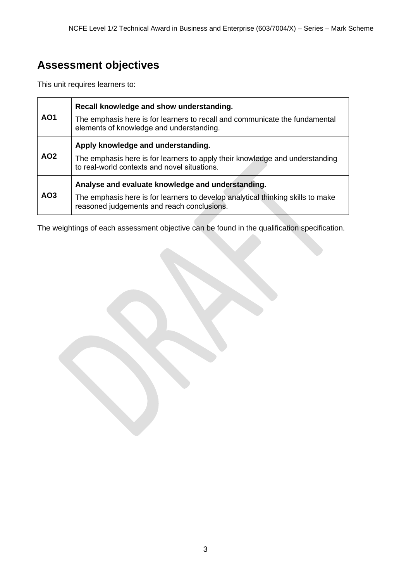# **Assessment objectives**

This unit requires learners to:

|                 | Recall knowledge and show understanding.                                                                                      |
|-----------------|-------------------------------------------------------------------------------------------------------------------------------|
| <b>AO1</b>      | The emphasis here is for learners to recall and communicate the fundamental<br>elements of knowledge and understanding.       |
|                 | Apply knowledge and understanding.                                                                                            |
| AO <sub>2</sub> | The emphasis here is for learners to apply their knowledge and understanding<br>to real-world contexts and novel situations.  |
|                 | Analyse and evaluate knowledge and understanding.                                                                             |
| AO <sub>3</sub> | The emphasis here is for learners to develop analytical thinking skills to make<br>reasoned judgements and reach conclusions. |

The weightings of each assessment objective can be found in the qualification specification.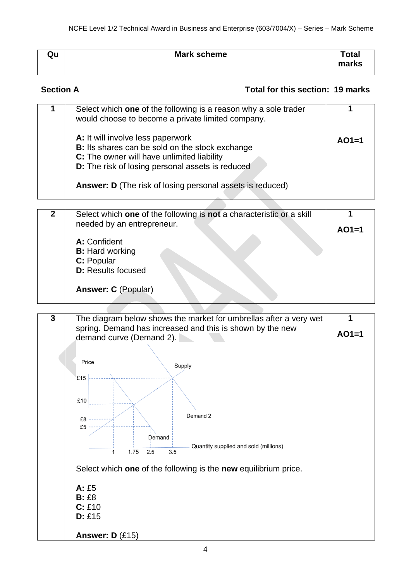| Qu | <b>Mark scheme</b> | <b>Total</b><br>marks |
|----|--------------------|-----------------------|

#### **Section A Total for this section: 19 marks**

| Select which one of the following is a reason why a sole trader<br>would choose to become a private limited company.<br>A: It will involve less paperwork<br>B: Its shares can be sold on the stock exchange<br>C: The owner will have unlimited liability<br><b>D:</b> The risk of losing personal assets is reduced<br><b>Answer: D</b> (The risk of losing personal assets is reduced) | $AO1=1$ |
|-------------------------------------------------------------------------------------------------------------------------------------------------------------------------------------------------------------------------------------------------------------------------------------------------------------------------------------------------------------------------------------------|---------|
| Select which one of the following is not a characteristic or a skill<br>needed by an entrepreneur.                                                                                                                                                                                                                                                                                        |         |

| <u>Colode million with of this following is five a characteristic of a citil</u><br>needed by an entrepreneur. |         |
|----------------------------------------------------------------------------------------------------------------|---------|
| A: Confident                                                                                                   | $AO1=1$ |
| <b>B:</b> Hard working                                                                                         |         |
| C: Popular                                                                                                     |         |
| <b>D:</b> Results focused                                                                                      |         |
| <b>Answer: C (Popular)</b>                                                                                     |         |
|                                                                                                                |         |

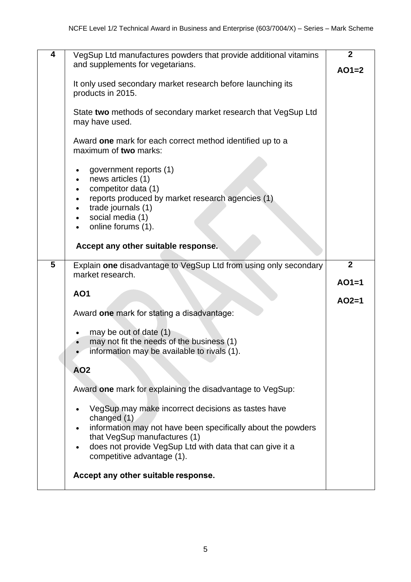| 4 | VegSup Ltd manufactures powders that provide additional vitamins                                                                                                                       | $\overline{2}$ |
|---|----------------------------------------------------------------------------------------------------------------------------------------------------------------------------------------|----------------|
|   | and supplements for vegetarians.                                                                                                                                                       | $AO1=2$        |
|   | It only used secondary market research before launching its<br>products in 2015.                                                                                                       |                |
|   | State two methods of secondary market research that VegSup Ltd<br>may have used.                                                                                                       |                |
|   | Award one mark for each correct method identified up to a<br>maximum of two marks:                                                                                                     |                |
|   | government reports (1)<br>news articles (1)<br>competitor data (1)<br>reports produced by market research agencies (1)<br>trade journals (1)<br>social media (1)<br>online forums (1). |                |
|   | Accept any other suitable response.                                                                                                                                                    |                |
| 5 | Explain one disadvantage to VegSup Ltd from using only secondary<br>market research.                                                                                                   | $\overline{2}$ |
|   | <b>AO1</b>                                                                                                                                                                             | $AO1=1$        |
|   |                                                                                                                                                                                        | $AO2=1$        |
|   | Award one mark for stating a disadvantage:                                                                                                                                             |                |
|   | may be out of date (1)<br>may not fit the needs of the business (1)<br>information may be available to rivals (1).                                                                     |                |
|   | <b>AO2</b>                                                                                                                                                                             |                |
|   | Award one mark for explaining the disadvantage to VegSup:                                                                                                                              |                |
|   | VegSup may make incorrect decisions as tastes have<br>changed $(1)$                                                                                                                    |                |
|   | information may not have been specifically about the powders<br>that VegSup manufactures (1)                                                                                           |                |
|   | does not provide VegSup Ltd with data that can give it a<br>$\bullet$<br>competitive advantage (1).                                                                                    |                |
|   | Accept any other suitable response.                                                                                                                                                    |                |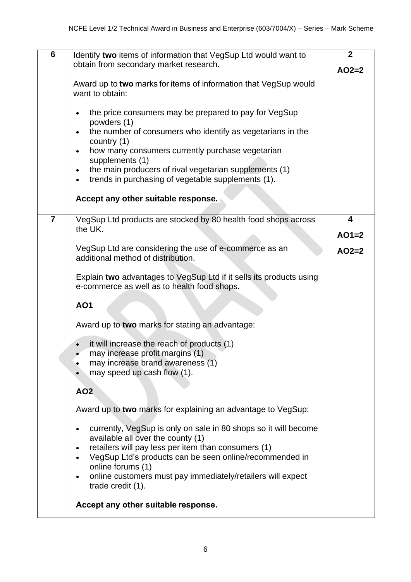| 6              | Identify two items of information that VegSup Ltd would want to<br>obtain from secondary market research.                                                        | $\overline{2}$<br>$AO2=2$          |
|----------------|------------------------------------------------------------------------------------------------------------------------------------------------------------------|------------------------------------|
|                | Award up to two marks for items of information that VegSup would<br>want to obtain:                                                                              |                                    |
|                | the price consumers may be prepared to pay for VegSup<br>powders (1)                                                                                             |                                    |
|                | the number of consumers who identify as vegetarians in the<br>country (1)                                                                                        |                                    |
|                | how many consumers currently purchase vegetarian<br>supplements (1)                                                                                              |                                    |
|                | the main producers of rival vegetarian supplements (1)<br>trends in purchasing of vegetable supplements (1).                                                     |                                    |
|                | Accept any other suitable response.                                                                                                                              |                                    |
| $\overline{7}$ | VegSup Ltd products are stocked by 80 health food shops across<br>the UK.                                                                                        | $\overline{\mathbf{4}}$<br>$AO1=2$ |
|                |                                                                                                                                                                  |                                    |
|                | VegSup Ltd are considering the use of e-commerce as an<br>additional method of distribution.                                                                     | $AO2=2$                            |
|                | Explain two advantages to VegSup Ltd if it sells its products using<br>e-commerce as well as to health food shops.                                               |                                    |
|                | <b>AO1</b>                                                                                                                                                       |                                    |
|                | Award up to two marks for stating an advantage:                                                                                                                  |                                    |
|                | it will increase the reach of products (1)<br>may increase profit margins (1)<br>may increase brand awareness (1)<br>may speed up cash flow (1).                 |                                    |
|                | <b>AO2</b>                                                                                                                                                       |                                    |
|                | Award up to two marks for explaining an advantage to VegSup:                                                                                                     |                                    |
|                | currently, VegSup is only on sale in 80 shops so it will become<br>available all over the county (1)<br>retailers will pay less per item than consumers (1)      |                                    |
|                | VegSup Ltd's products can be seen online/recommended in<br>online forums (1)<br>online customers must pay immediately/retailers will expect<br>trade credit (1). |                                    |
|                | Accept any other suitable response.                                                                                                                              |                                    |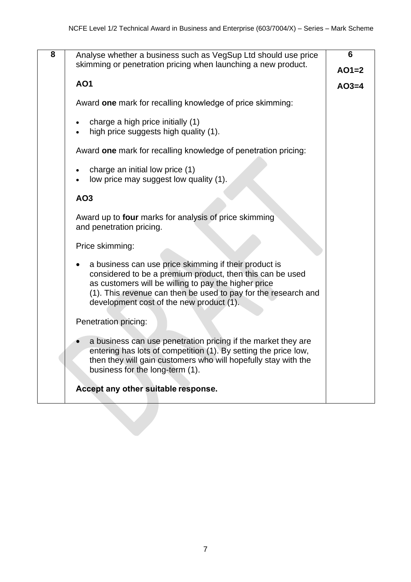| 8 | Analyse whether a business such as VegSup Ltd should use price<br>skimming or penetration pricing when launching a new product.                                                                                                                                                          | 6       |
|---|------------------------------------------------------------------------------------------------------------------------------------------------------------------------------------------------------------------------------------------------------------------------------------------|---------|
|   |                                                                                                                                                                                                                                                                                          | $AO1=2$ |
|   | <b>AO1</b>                                                                                                                                                                                                                                                                               | $AO3=4$ |
|   | Award one mark for recalling knowledge of price skimming:                                                                                                                                                                                                                                |         |
|   | charge a high price initially (1)<br>high price suggests high quality (1).                                                                                                                                                                                                               |         |
|   | Award one mark for recalling knowledge of penetration pricing:                                                                                                                                                                                                                           |         |
|   | charge an initial low price (1)<br>low price may suggest low quality (1).                                                                                                                                                                                                                |         |
|   | AO3                                                                                                                                                                                                                                                                                      |         |
|   | Award up to four marks for analysis of price skimming<br>and penetration pricing.                                                                                                                                                                                                        |         |
|   | Price skimming:                                                                                                                                                                                                                                                                          |         |
|   | a business can use price skimming if their product is<br>considered to be a premium product, then this can be used<br>as customers will be willing to pay the higher price<br>(1). This revenue can then be used to pay for the research and<br>development cost of the new product (1). |         |
|   | Penetration pricing:                                                                                                                                                                                                                                                                     |         |
|   | a business can use penetration pricing if the market they are<br>entering has lots of competition (1). By setting the price low,<br>then they will gain customers who will hopefully stay with the<br>business for the long-term (1).                                                    |         |
|   | Accept any other suitable response.                                                                                                                                                                                                                                                      |         |
|   |                                                                                                                                                                                                                                                                                          |         |
|   |                                                                                                                                                                                                                                                                                          |         |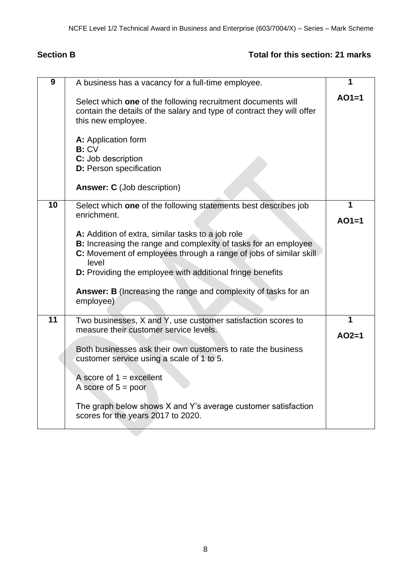### **Section B Total for this section: 21 marks**

| $\overline{9}$  | A business has a vacancy for a full-time employee.                                                                                                                                                                                                                                 | 1       |
|-----------------|------------------------------------------------------------------------------------------------------------------------------------------------------------------------------------------------------------------------------------------------------------------------------------|---------|
|                 | Select which one of the following recruitment documents will<br>contain the details of the salary and type of contract they will offer<br>this new employee.<br>A: Application form<br>B:CV<br>C: Job description<br>D: Person specification<br><b>Answer: C</b> (Job description) | $AO1=1$ |
| $\overline{10}$ | Select which one of the following statements best describes job                                                                                                                                                                                                                    | 1       |
|                 | enrichment.                                                                                                                                                                                                                                                                        | $AO1=1$ |
|                 | A: Addition of extra, similar tasks to a job role<br>B: Increasing the range and complexity of tasks for an employee                                                                                                                                                               |         |
|                 | C: Movement of employees through a range of jobs of similar skill                                                                                                                                                                                                                  |         |
|                 | level<br><b>D:</b> Providing the employee with additional fringe benefits                                                                                                                                                                                                          |         |
|                 |                                                                                                                                                                                                                                                                                    |         |
|                 | Answer: B (Increasing the range and complexity of tasks for an<br>employee)                                                                                                                                                                                                        |         |
|                 |                                                                                                                                                                                                                                                                                    |         |
| $\overline{11}$ | Two businesses, X and Y, use customer satisfaction scores to<br>measure their customer service levels.                                                                                                                                                                             | 1       |
|                 |                                                                                                                                                                                                                                                                                    | $AO2=1$ |
|                 | Both businesses ask their own customers to rate the business<br>customer service using a scale of 1 to 5.                                                                                                                                                                          |         |
|                 | A score of $1 =$ excellent<br>A score of $5 = poor$                                                                                                                                                                                                                                |         |
|                 | The graph below shows X and Y's average customer satisfaction<br>scores for the years 2017 to 2020.                                                                                                                                                                                |         |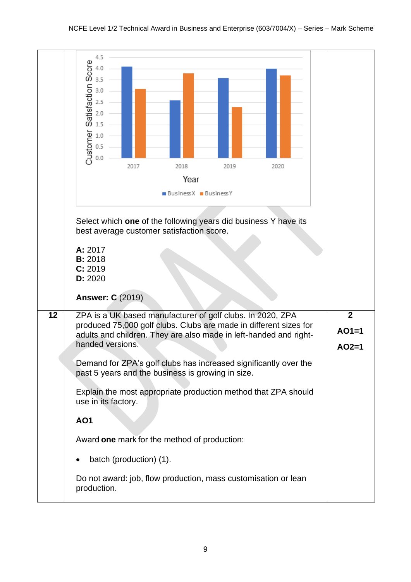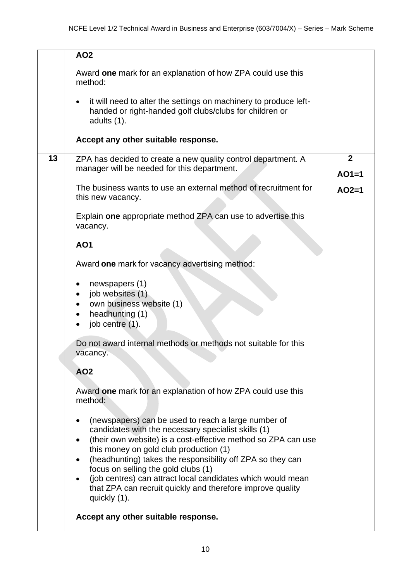|    | <b>AO2</b>                                                                                                                                                                                                                                                                                                                                                                                                                                                              |                           |
|----|-------------------------------------------------------------------------------------------------------------------------------------------------------------------------------------------------------------------------------------------------------------------------------------------------------------------------------------------------------------------------------------------------------------------------------------------------------------------------|---------------------------|
|    | Award one mark for an explanation of how ZPA could use this<br>method:                                                                                                                                                                                                                                                                                                                                                                                                  |                           |
|    | it will need to alter the settings on machinery to produce left-<br>$\bullet$<br>handed or right-handed golf clubs/clubs for children or<br>adults (1).                                                                                                                                                                                                                                                                                                                 |                           |
|    | Accept any other suitable response.                                                                                                                                                                                                                                                                                                                                                                                                                                     |                           |
| 13 | ZPA has decided to create a new quality control department. A<br>manager will be needed for this department.                                                                                                                                                                                                                                                                                                                                                            | $\overline{2}$<br>$AO1=1$ |
|    | The business wants to use an external method of recruitment for<br>this new vacancy.                                                                                                                                                                                                                                                                                                                                                                                    | $AO2=1$                   |
|    | Explain one appropriate method ZPA can use to advertise this<br>vacancy.                                                                                                                                                                                                                                                                                                                                                                                                |                           |
|    | <b>AO1</b>                                                                                                                                                                                                                                                                                                                                                                                                                                                              |                           |
|    | Award one mark for vacancy advertising method:                                                                                                                                                                                                                                                                                                                                                                                                                          |                           |
|    | newspapers (1)<br>job websites (1)<br>own business website (1)<br>headhunting (1)<br>job centre (1).                                                                                                                                                                                                                                                                                                                                                                    |                           |
|    | Do not award internal methods or methods not suitable for this<br>vacancy.                                                                                                                                                                                                                                                                                                                                                                                              |                           |
|    | <b>AO2</b>                                                                                                                                                                                                                                                                                                                                                                                                                                                              |                           |
|    | Award one mark for an explanation of how ZPA could use this<br>method:                                                                                                                                                                                                                                                                                                                                                                                                  |                           |
|    | (newspapers) can be used to reach a large number of<br>candidates with the necessary specialist skills (1)<br>(their own website) is a cost-effective method so ZPA can use<br>this money on gold club production (1)<br>(headhunting) takes the responsibility off ZPA so they can<br>focus on selling the gold clubs (1)<br>(job centres) can attract local candidates which would mean<br>that ZPA can recruit quickly and therefore improve quality<br>quickly (1). |                           |
|    | Accept any other suitable response.                                                                                                                                                                                                                                                                                                                                                                                                                                     |                           |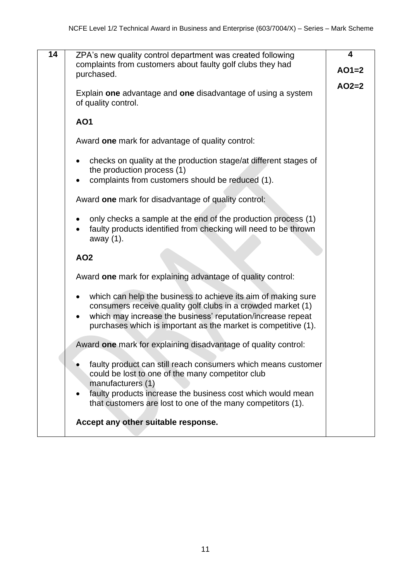| 14 |                                                                                                                                                                                                                                                                             | 4       |
|----|-----------------------------------------------------------------------------------------------------------------------------------------------------------------------------------------------------------------------------------------------------------------------------|---------|
|    | ZPA's new quality control department was created following<br>complaints from customers about faulty golf clubs they had                                                                                                                                                    |         |
|    | purchased.                                                                                                                                                                                                                                                                  | $AO1=2$ |
|    |                                                                                                                                                                                                                                                                             | $AO2=2$ |
|    | Explain one advantage and one disadvantage of using a system<br>of quality control.                                                                                                                                                                                         |         |
|    | <b>AO1</b>                                                                                                                                                                                                                                                                  |         |
|    | Award one mark for advantage of quality control:                                                                                                                                                                                                                            |         |
|    | checks on quality at the production stage/at different stages of<br>the production process (1)                                                                                                                                                                              |         |
|    | complaints from customers should be reduced (1).<br>$\bullet$                                                                                                                                                                                                               |         |
|    | Award one mark for disadvantage of quality control:                                                                                                                                                                                                                         |         |
|    | only checks a sample at the end of the production process (1)<br>faulty products identified from checking will need to be thrown<br>away (1).                                                                                                                               |         |
|    | <b>AO2</b>                                                                                                                                                                                                                                                                  |         |
|    | Award one mark for explaining advantage of quality control:                                                                                                                                                                                                                 |         |
|    | which can help the business to achieve its aim of making sure<br>$\bullet$<br>consumers receive quality golf clubs in a crowded market (1)<br>which may increase the business' reputation/increase repeat<br>purchases which is important as the market is competitive (1). |         |
|    | Award one mark for explaining disadvantage of quality control:                                                                                                                                                                                                              |         |
|    | faulty product can still reach consumers which means customer<br>could be lost to one of the many competitor club<br>manufacturers (1)<br>faulty products increase the business cost which would mean<br>that customers are lost to one of the many competitors (1).        |         |
|    | Accept any other suitable response.                                                                                                                                                                                                                                         |         |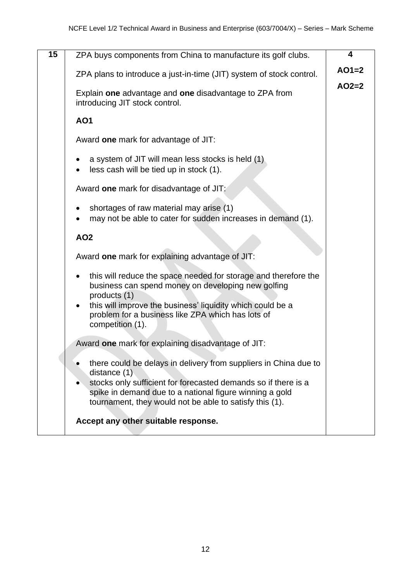| 15 | ZPA buys components from China to manufacture its golf clubs.                                                                                                                                                                                                              | 4       |
|----|----------------------------------------------------------------------------------------------------------------------------------------------------------------------------------------------------------------------------------------------------------------------------|---------|
|    | ZPA plans to introduce a just-in-time (JIT) system of stock control.                                                                                                                                                                                                       | $AO1=2$ |
|    | Explain one advantage and one disadvantage to ZPA from<br>introducing JIT stock control.                                                                                                                                                                                   | $AO2=2$ |
|    | <b>AO1</b>                                                                                                                                                                                                                                                                 |         |
|    | Award one mark for advantage of JIT:                                                                                                                                                                                                                                       |         |
|    | a system of JIT will mean less stocks is held (1)<br>less cash will be tied up in stock (1).                                                                                                                                                                               |         |
|    | Award one mark for disadvantage of JIT:                                                                                                                                                                                                                                    |         |
|    | shortages of raw material may arise (1)<br>may not be able to cater for sudden increases in demand (1).                                                                                                                                                                    |         |
|    | <b>AO2</b>                                                                                                                                                                                                                                                                 |         |
|    | Award one mark for explaining advantage of JIT:                                                                                                                                                                                                                            |         |
|    | this will reduce the space needed for storage and therefore the<br>$\bullet$<br>business can spend money on developing new golfing<br>products (1)                                                                                                                         |         |
|    | this will improve the business' liquidity which could be a<br>$\bullet$<br>problem for a business like ZPA which has lots of<br>competition (1).                                                                                                                           |         |
|    | Award one mark for explaining disadvantage of JIT:                                                                                                                                                                                                                         |         |
|    | there could be delays in delivery from suppliers in China due to<br>distance $(1)$<br>stocks only sufficient for forecasted demands so if there is a<br>spike in demand due to a national figure winning a gold<br>tournament, they would not be able to satisfy this (1). |         |
|    | Accept any other suitable response.                                                                                                                                                                                                                                        |         |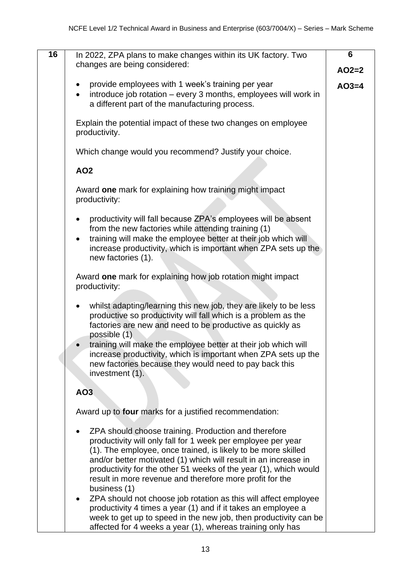| 16 | In 2022, ZPA plans to make changes within its UK factory. Two<br>changes are being considered:                                                                                                                                                                                                                                                                                                                        | 6<br>$AO2=2$ |
|----|-----------------------------------------------------------------------------------------------------------------------------------------------------------------------------------------------------------------------------------------------------------------------------------------------------------------------------------------------------------------------------------------------------------------------|--------------|
|    | provide employees with 1 week's training per year<br>introduce job rotation - every 3 months, employees will work in<br>$\bullet$<br>a different part of the manufacturing process.                                                                                                                                                                                                                                   | $AO3=4$      |
|    | Explain the potential impact of these two changes on employee<br>productivity.                                                                                                                                                                                                                                                                                                                                        |              |
|    | Which change would you recommend? Justify your choice.                                                                                                                                                                                                                                                                                                                                                                |              |
|    | <b>AO2</b>                                                                                                                                                                                                                                                                                                                                                                                                            |              |
|    | Award one mark for explaining how training might impact<br>productivity:                                                                                                                                                                                                                                                                                                                                              |              |
|    | productivity will fall because ZPA's employees will be absent<br>from the new factories while attending training (1)<br>training will make the employee better at their job which will<br>$\bullet$<br>increase productivity, which is important when ZPA sets up the<br>new factories (1).                                                                                                                           |              |
|    | Award one mark for explaining how job rotation might impact<br>productivity:                                                                                                                                                                                                                                                                                                                                          |              |
|    | whilst adapting/learning this new job, they are likely to be less<br>$\bullet$<br>productive so productivity will fall which is a problem as the<br>factories are new and need to be productive as quickly as<br>possible (1)                                                                                                                                                                                         |              |
|    | training will make the employee better at their job which will<br>increase productivity, which is important when ZPA sets up the<br>new factories because they would need to pay back this<br>investment (1).                                                                                                                                                                                                         |              |
|    | AO3                                                                                                                                                                                                                                                                                                                                                                                                                   |              |
|    | Award up to four marks for a justified recommendation:                                                                                                                                                                                                                                                                                                                                                                |              |
|    | ZPA should choose training. Production and therefore<br>$\bullet$<br>productivity will only fall for 1 week per employee per year<br>(1). The employee, once trained, is likely to be more skilled<br>and/or better motivated (1) which will result in an increase in<br>productivity for the other 51 weeks of the year (1), which would<br>result in more revenue and therefore more profit for the<br>business (1) |              |
|    | ZPA should not choose job rotation as this will affect employee<br>$\bullet$<br>productivity 4 times a year (1) and if it takes an employee a<br>week to get up to speed in the new job, then productivity can be<br>affected for 4 weeks a year (1), whereas training only has                                                                                                                                       |              |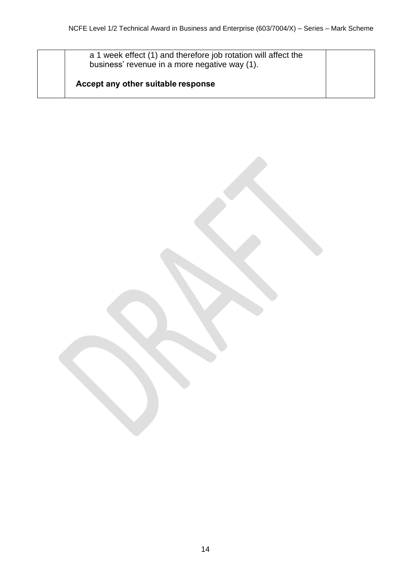a 1 week effect (1) and therefore job rotation will affect the business' revenue in a more negative way (1).

**Accept any other suitable response**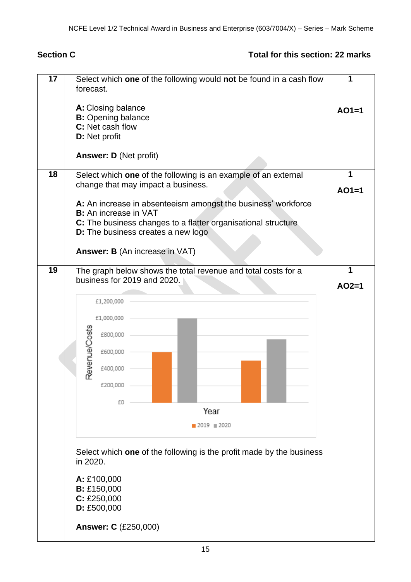### **Section C Total for this section: 22 marks**

| 17              | Select which one of the following would not be found in a cash flow<br>forecast. | 1       |
|-----------------|----------------------------------------------------------------------------------|---------|
|                 | A: Closing balance                                                               | $AO1=1$ |
|                 | <b>B:</b> Opening balance                                                        |         |
|                 | C: Net cash flow                                                                 |         |
|                 | <b>D:</b> Net profit                                                             |         |
|                 | <b>Answer: D (Net profit)</b>                                                    |         |
| $\overline{18}$ | Select which one of the following is an example of an external                   | 1       |
|                 | change that may impact a business.                                               | $AO1=1$ |
|                 | A: An increase in absenteeism amongst the business' workforce                    |         |
|                 | <b>B:</b> An increase in VAT                                                     |         |
|                 | C: The business changes to a flatter organisational structure                    |         |
|                 | D: The business creates a new logo                                               |         |
|                 |                                                                                  |         |
|                 | <b>Answer: B</b> (An increase in VAT)                                            |         |
| 19              | The graph below shows the total revenue and total costs for a                    | 1       |
|                 | business for 2019 and 2020.                                                      |         |
|                 |                                                                                  | $AO2=1$ |
|                 | £1,200,000                                                                       |         |
|                 |                                                                                  |         |
|                 | £1,000,000                                                                       |         |
|                 | Revenue/Costs<br>£800,000                                                        |         |
|                 | £600,000                                                                         |         |
|                 |                                                                                  |         |
|                 | £400,000                                                                         |         |
|                 |                                                                                  |         |
|                 | £200,000                                                                         |         |
|                 | £0                                                                               |         |
|                 | Year                                                                             |         |
|                 | $2019 \equiv 2020$                                                               |         |
|                 |                                                                                  |         |
|                 | Select which one of the following is the profit made by the business             |         |
|                 | in 2020.                                                                         |         |
|                 |                                                                                  |         |
|                 | A: £100,000                                                                      |         |
|                 | <b>B:</b> £150,000                                                               |         |
|                 | C: E250,000                                                                      |         |
|                 | D: £500,000                                                                      |         |
|                 | <b>Answer: C (£250,000)</b>                                                      |         |
|                 |                                                                                  |         |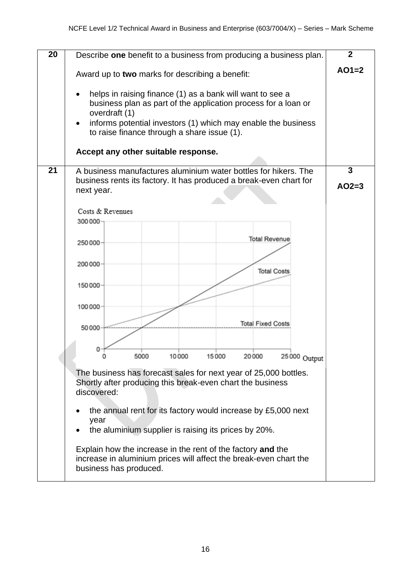| $\overline{20}$ | Describe one benefit to a business from producing a business plan.                                                                                                                                                                                           | $\overline{2}$          |  |  |  |  |  |  |
|-----------------|--------------------------------------------------------------------------------------------------------------------------------------------------------------------------------------------------------------------------------------------------------------|-------------------------|--|--|--|--|--|--|
|                 | Award up to two marks for describing a benefit:                                                                                                                                                                                                              | $AO1=2$                 |  |  |  |  |  |  |
|                 | helps in raising finance (1) as a bank will want to see a<br>business plan as part of the application process for a loan or<br>overdraft (1)<br>informs potential investors (1) which may enable the business<br>to raise finance through a share issue (1). |                         |  |  |  |  |  |  |
|                 | Accept any other suitable response.                                                                                                                                                                                                                          |                         |  |  |  |  |  |  |
| 21              | A business manufactures aluminium water bottles for hikers. The<br>business rents its factory. It has produced a break-even chart for<br>next year.                                                                                                          | $\mathbf{3}$<br>$AO2=3$ |  |  |  |  |  |  |
|                 | Costs & Revenues<br>300 000                                                                                                                                                                                                                                  |                         |  |  |  |  |  |  |
|                 | <b>Total Revenue</b><br>250000-                                                                                                                                                                                                                              |                         |  |  |  |  |  |  |
|                 | 200 000-<br><b>Total Costs</b>                                                                                                                                                                                                                               |                         |  |  |  |  |  |  |
|                 | 150000-                                                                                                                                                                                                                                                      |                         |  |  |  |  |  |  |
|                 | $100000 -$<br><b>Total Fixed Costs</b>                                                                                                                                                                                                                       |                         |  |  |  |  |  |  |
|                 | 50000                                                                                                                                                                                                                                                        |                         |  |  |  |  |  |  |
|                 | 10000<br>5000<br>15000<br>20000<br>25 000 Output                                                                                                                                                                                                             |                         |  |  |  |  |  |  |
|                 | The business has forecast sales for next year of 25,000 bottles.<br>Shortly after producing this break-even chart the business<br>discovered:                                                                                                                |                         |  |  |  |  |  |  |
|                 | the annual rent for its factory would increase by £5,000 next<br>year<br>the aluminium supplier is raising its prices by 20%.                                                                                                                                |                         |  |  |  |  |  |  |
|                 | Explain how the increase in the rent of the factory and the<br>increase in aluminium prices will affect the break-even chart the<br>business has produced.                                                                                                   |                         |  |  |  |  |  |  |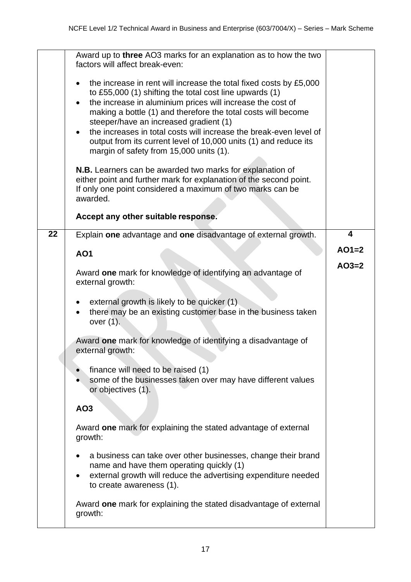|                 | Award up to three AO3 marks for an explanation as to how the two<br>factors will affect break-even:                                                                                                                                                                                                                                                                                                                                                                                                                                |         |
|-----------------|------------------------------------------------------------------------------------------------------------------------------------------------------------------------------------------------------------------------------------------------------------------------------------------------------------------------------------------------------------------------------------------------------------------------------------------------------------------------------------------------------------------------------------|---------|
|                 | the increase in rent will increase the total fixed costs by £5,000<br>$\bullet$<br>to £55,000 (1) shifting the total cost line upwards (1)<br>the increase in aluminium prices will increase the cost of<br>$\bullet$<br>making a bottle (1) and therefore the total costs will become<br>steeper/have an increased gradient (1)<br>the increases in total costs will increase the break-even level of<br>$\bullet$<br>output from its current level of 10,000 units (1) and reduce its<br>margin of safety from 15,000 units (1). |         |
|                 | N.B. Learners can be awarded two marks for explanation of<br>either point and further mark for explanation of the second point.<br>If only one point considered a maximum of two marks can be<br>awarded.                                                                                                                                                                                                                                                                                                                          |         |
|                 | Accept any other suitable response.                                                                                                                                                                                                                                                                                                                                                                                                                                                                                                |         |
| $\overline{22}$ | Explain one advantage and one disadvantage of external growth.                                                                                                                                                                                                                                                                                                                                                                                                                                                                     | 4       |
|                 | <b>AO1</b>                                                                                                                                                                                                                                                                                                                                                                                                                                                                                                                         | $AO1=2$ |
|                 | Award one mark for knowledge of identifying an advantage of<br>external growth:                                                                                                                                                                                                                                                                                                                                                                                                                                                    | $AO3=2$ |
|                 | external growth is likely to be quicker (1)<br>there may be an existing customer base in the business taken<br>over $(1)$ .                                                                                                                                                                                                                                                                                                                                                                                                        |         |
|                 | Award one mark for knowledge of identifying a disadvantage of<br>external growth:                                                                                                                                                                                                                                                                                                                                                                                                                                                  |         |
|                 | finance will need to be raised (1)<br>some of the businesses taken over may have different values<br>or objectives (1).                                                                                                                                                                                                                                                                                                                                                                                                            |         |
|                 | AO3                                                                                                                                                                                                                                                                                                                                                                                                                                                                                                                                |         |
|                 | Award one mark for explaining the stated advantage of external<br>growth:                                                                                                                                                                                                                                                                                                                                                                                                                                                          |         |
|                 | a business can take over other businesses, change their brand<br>name and have them operating quickly (1)<br>external growth will reduce the advertising expenditure needed<br>$\bullet$<br>to create awareness (1).                                                                                                                                                                                                                                                                                                               |         |
|                 | Award one mark for explaining the stated disadvantage of external<br>growth:                                                                                                                                                                                                                                                                                                                                                                                                                                                       |         |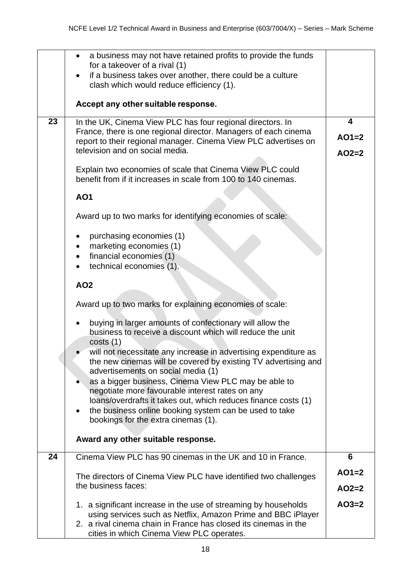|    | a business may not have retained profits to provide the funds<br>for a takeover of a rival (1)                                     |         |
|----|------------------------------------------------------------------------------------------------------------------------------------|---------|
|    | if a business takes over another, there could be a culture                                                                         |         |
|    | clash which would reduce efficiency (1).                                                                                           |         |
|    |                                                                                                                                    |         |
|    | Accept any other suitable response.                                                                                                |         |
| 23 | In the UK, Cinema View PLC has four regional directors. In                                                                         | 4       |
|    | France, there is one regional director. Managers of each cinema<br>report to their regional manager. Cinema View PLC advertises on | $AO1=2$ |
|    | television and on social media.                                                                                                    | $AO2=2$ |
|    |                                                                                                                                    |         |
|    | Explain two economies of scale that Cinema View PLC could<br>benefit from if it increases in scale from 100 to 140 cinemas.        |         |
|    | <b>AO1</b>                                                                                                                         |         |
|    | Award up to two marks for identifying economies of scale:                                                                          |         |
|    | purchasing economies (1)                                                                                                           |         |
|    | marketing economies (1)                                                                                                            |         |
|    | financial economies (1)                                                                                                            |         |
|    | technical economies (1).                                                                                                           |         |
|    | <b>AO2</b>                                                                                                                         |         |
|    | Award up to two marks for explaining economies of scale:                                                                           |         |
|    | buying in larger amounts of confectionary will allow the<br>business to receive a discount which will reduce the unit<br>costs(1)  |         |
|    | will not necessitate any increase in advertising expenditure as<br>the new cinemas will be covered by existing TV advertising and  |         |
|    | advertisements on social media (1)                                                                                                 |         |
|    | as a bigger business, Cinema View PLC may be able to<br>negotiate more favourable interest rates on any                            |         |
|    | loans/overdrafts it takes out, which reduces finance costs (1)                                                                     |         |
|    | the business online booking system can be used to take<br>$\bullet$                                                                |         |
|    | bookings for the extra cinemas (1).                                                                                                |         |
|    |                                                                                                                                    |         |
|    | Award any other suitable response.                                                                                                 |         |
| 24 | Cinema View PLC has 90 cinemas in the UK and 10 in France.                                                                         | 6       |
|    | The directors of Cinema View PLC have identified two challenges                                                                    | $AO1=2$ |
|    | the business faces:                                                                                                                | $AO2=2$ |
|    |                                                                                                                                    |         |
|    | 1. a significant increase in the use of streaming by households                                                                    | $AO3=2$ |
|    | using services such as Netflix, Amazon Prime and BBC iPlayer<br>2. a rival cinema chain in France has closed its cinemas in the    |         |
|    | cities in which Cinema View PLC operates.                                                                                          |         |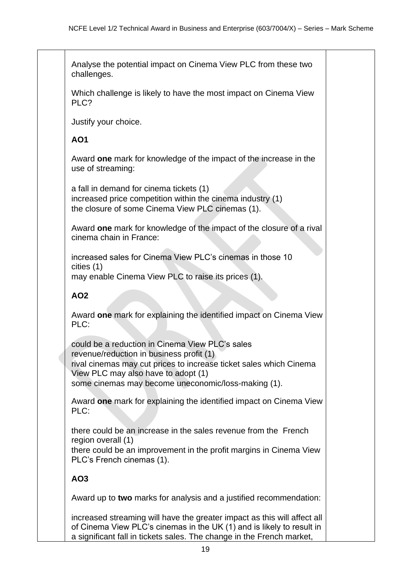Analyse the potential impact on Cinema View PLC from these two challenges.

Which challenge is likely to have the most impact on Cinema View PLC?

Justify your choice.

#### **AO1**

Award **one** mark for knowledge of the impact of the increase in the use of streaming:

• a fall in demand for cinema tickets (1) increased price competition within the cinema industry (1) • the closure of some Cinema View PLC cinemas (1).

Award **one** mark for knowledge of the impact of the closure of a rival cinema chain in France:

increased sales for Cinema View PLC's cinemas in those 10 cities (1) may enable Cinema View PLC to raise its prices (1).

#### **AO2**

Award **one** mark for explaining the identified impact on Cinema View PLC:

• could be a reduction in Cinema View PLC's sales revenue/reduction in business profit (1)

• rival cinemas may cut prices to increase ticket sales which Cinema View PLC may also have to adopt (1)

some cinemas may become uneconomic/loss-making (1).

Award **one** mark for explaining the identified impact on Cinema View PLC:

• there could be an increase in the sales revenue from the French region overall (1)

• there could be an improvement in the profit margins in Cinema View PLC's French cinemas (1).

**AO3**

Award up to **two** marks for analysis and a justified recommendation:

• increased streaming will have the greater impact as this will affect all of Cinema View PLC's cinemas in the UK (1) and is likely to result in a significant fall in tickets sales. The change in the French market,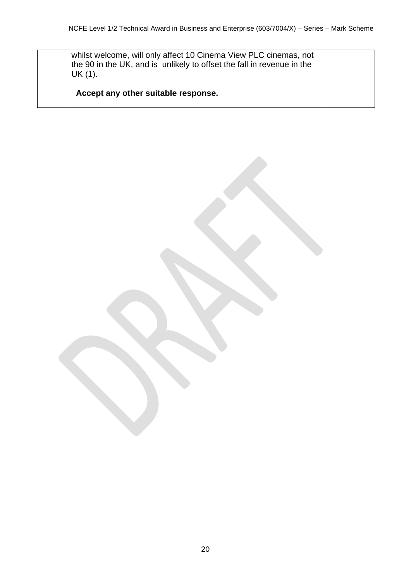whilst welcome, will only affect 10 Cinema View PLC cinemas, not the 90 in the UK, and is unlikely to offset the fall in revenue in the UK (1).

**Accept any other suitable response.**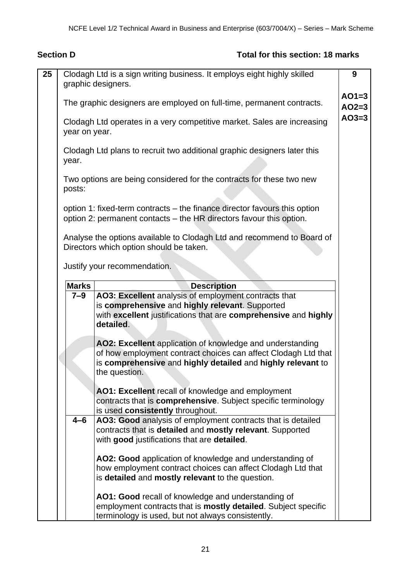### **Section D** Total for this section: 18 marks

| 25 |                                                                                                                                                  | Clodagh Ltd is a sign writing business. It employs eight highly skilled<br>graphic designers.                          | 9                  |  |  |  |  |
|----|--------------------------------------------------------------------------------------------------------------------------------------------------|------------------------------------------------------------------------------------------------------------------------|--------------------|--|--|--|--|
|    |                                                                                                                                                  | The graphic designers are employed on full-time, permanent contracts.                                                  | $AO1=3$<br>$AO2=3$ |  |  |  |  |
|    |                                                                                                                                                  | Clodagh Ltd operates in a very competitive market. Sales are increasing<br>year on year.                               | $AO3=3$            |  |  |  |  |
|    | Clodagh Ltd plans to recruit two additional graphic designers later this<br>year.                                                                |                                                                                                                        |                    |  |  |  |  |
|    | posts:                                                                                                                                           | Two options are being considered for the contracts for these two new                                                   |                    |  |  |  |  |
|    | option 1: fixed-term contracts – the finance director favours this option<br>option 2: permanent contacts - the HR directors favour this option. |                                                                                                                        |                    |  |  |  |  |
|    |                                                                                                                                                  | Analyse the options available to Clodagh Ltd and recommend to Board of<br>Directors which option should be taken.      |                    |  |  |  |  |
|    |                                                                                                                                                  | Justify your recommendation.                                                                                           |                    |  |  |  |  |
|    | <b>Marks</b>                                                                                                                                     | <b>Description</b>                                                                                                     |                    |  |  |  |  |
|    | $7 - 9$                                                                                                                                          | AO3: Excellent analysis of employment contracts that                                                                   |                    |  |  |  |  |
|    |                                                                                                                                                  | is comprehensive and highly relevant. Supported                                                                        |                    |  |  |  |  |
|    |                                                                                                                                                  | with excellent justifications that are comprehensive and highly<br>detailed.                                           |                    |  |  |  |  |
|    |                                                                                                                                                  | AO2: Excellent application of knowledge and understanding                                                              |                    |  |  |  |  |
|    |                                                                                                                                                  | of how employment contract choices can affect Clodagh Ltd that                                                         |                    |  |  |  |  |
|    |                                                                                                                                                  | is comprehensive and highly detailed and highly relevant to<br>the question.                                           |                    |  |  |  |  |
|    |                                                                                                                                                  |                                                                                                                        |                    |  |  |  |  |
|    |                                                                                                                                                  | AO1: Excellent recall of knowledge and employment<br>contracts that is comprehensive. Subject specific terminology     |                    |  |  |  |  |
|    |                                                                                                                                                  | is used consistently throughout.                                                                                       |                    |  |  |  |  |
|    | $4 - 6$                                                                                                                                          | AO3: Good analysis of employment contracts that is detailed                                                            |                    |  |  |  |  |
|    |                                                                                                                                                  | contracts that is detailed and mostly relevant. Supported                                                              |                    |  |  |  |  |
|    |                                                                                                                                                  | with good justifications that are detailed.                                                                            |                    |  |  |  |  |
|    |                                                                                                                                                  |                                                                                                                        |                    |  |  |  |  |
|    |                                                                                                                                                  | AO2: Good application of knowledge and understanding of<br>how employment contract choices can affect Clodagh Ltd that |                    |  |  |  |  |
|    |                                                                                                                                                  | is detailed and mostly relevant to the question.                                                                       |                    |  |  |  |  |
|    |                                                                                                                                                  | AO1: Good recall of knowledge and understanding of                                                                     |                    |  |  |  |  |
|    |                                                                                                                                                  | employment contracts that is <b>mostly detailed</b> . Subject specific                                                 |                    |  |  |  |  |
|    |                                                                                                                                                  | terminology is used, but not always consistently.                                                                      |                    |  |  |  |  |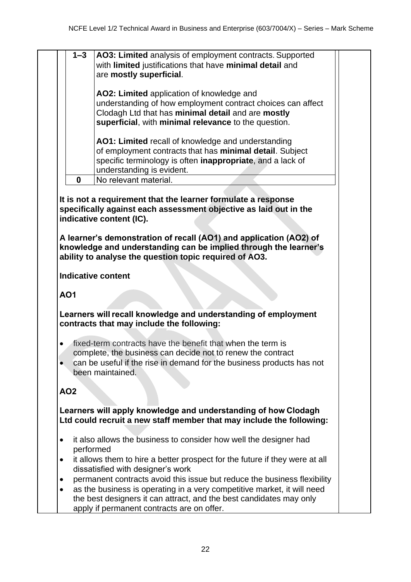|  | <b>1–3</b>   AO3: Limited analysis of employment contracts. Supported |
|--|-----------------------------------------------------------------------|
|  | with limited justifications that have minimal detail and              |
|  | are mostly superficial.                                               |

**AO2: Limited** application of knowledge and understanding of how employment contract choices can affect Clodagh Ltd that has **minimal detail** and are **mostly superficial**, with **minimal relevance** to the question.

**AO1: Limited** recall of knowledge and understanding of employment contracts that has **minimal detail**. Subject specific terminology is often **inappropriate**, and a lack of understanding is evident.

**0** No relevant material. 

**It is not a requirement that the learner formulate a response specifically against each assessment objective as laid out in the indicative content (IC).**

**A learner's demonstration of recall (AO1) and application (AO2) of knowledge and understanding can be implied through the learner's ability to analyse the question topic required of AO3.**

**Indicative content**

**AO1**

**Learners will recall knowledge and understanding of employment contracts that may include the following:**

- fixed-term contracts have the benefit that when the term is complete, the business can decide not to renew the contract
- can be useful if the rise in demand for the business products has not been maintained.

#### **AO2**

**Learners will apply knowledge and understanding of how Clodagh Ltd could recruit a new staff member that may include the following:**

- it also allows the business to consider how well the designer had performed
- it allows them to hire a better prospect for the future if they were at all dissatisfied with designer's work
- permanent contracts avoid this issue but reduce the business flexibility
- as the business is operating in a very competitive market, it will need the best designers it can attract, and the best candidates may only apply if permanent contracts are on offer.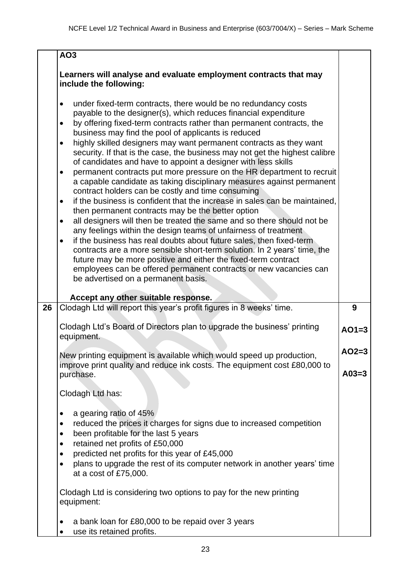|    | AO <sub>3</sub>                                                                                                                                                                                                                                                                                                                                                                                                                                                                                                                                                                                                                                                                                                                                                                                                                                                                                                                                                                                                                                                                                                                                                                                                                                                                                                                                                                                            |         |
|----|------------------------------------------------------------------------------------------------------------------------------------------------------------------------------------------------------------------------------------------------------------------------------------------------------------------------------------------------------------------------------------------------------------------------------------------------------------------------------------------------------------------------------------------------------------------------------------------------------------------------------------------------------------------------------------------------------------------------------------------------------------------------------------------------------------------------------------------------------------------------------------------------------------------------------------------------------------------------------------------------------------------------------------------------------------------------------------------------------------------------------------------------------------------------------------------------------------------------------------------------------------------------------------------------------------------------------------------------------------------------------------------------------------|---------|
|    | Learners will analyse and evaluate employment contracts that may<br>include the following:                                                                                                                                                                                                                                                                                                                                                                                                                                                                                                                                                                                                                                                                                                                                                                                                                                                                                                                                                                                                                                                                                                                                                                                                                                                                                                                 |         |
|    | under fixed-term contracts, there would be no redundancy costs<br>$\bullet$<br>payable to the designer(s), which reduces financial expenditure<br>by offering fixed-term contracts rather than permanent contracts, the<br>$\bullet$<br>business may find the pool of applicants is reduced<br>highly skilled designers may want permanent contracts as they want<br>$\bullet$<br>security. If that is the case, the business may not get the highest calibre<br>of candidates and have to appoint a designer with less skills<br>permanent contracts put more pressure on the HR department to recruit<br>$\bullet$<br>a capable candidate as taking disciplinary measures against permanent<br>contract holders can be costly and time consuming<br>if the business is confident that the increase in sales can be maintained,<br>$\bullet$<br>then permanent contracts may be the better option<br>all designers will then be treated the same and so there should not be<br>$\bullet$<br>any feelings within the design teams of unfairness of treatment<br>if the business has real doubts about future sales, then fixed-term<br>$\bullet$<br>contracts are a more sensible short-term solution. In 2 years' time, the<br>future may be more positive and either the fixed-term contract<br>employees can be offered permanent contracts or new vacancies can<br>be advertised on a permanent basis. |         |
| 26 | Accept any other suitable response.<br>Clodagh Ltd will report this year's profit figures in 8 weeks' time.                                                                                                                                                                                                                                                                                                                                                                                                                                                                                                                                                                                                                                                                                                                                                                                                                                                                                                                                                                                                                                                                                                                                                                                                                                                                                                | 9       |
|    | Clodagh Ltd's Board of Directors plan to upgrade the business' printing<br>equipment.                                                                                                                                                                                                                                                                                                                                                                                                                                                                                                                                                                                                                                                                                                                                                                                                                                                                                                                                                                                                                                                                                                                                                                                                                                                                                                                      | $AO1=3$ |
|    | New printing equipment is available which would speed up production.<br>improve print quality and reduce ink costs. The equipment cost £80,000 to                                                                                                                                                                                                                                                                                                                                                                                                                                                                                                                                                                                                                                                                                                                                                                                                                                                                                                                                                                                                                                                                                                                                                                                                                                                          | $AO2=3$ |
|    | purchase.                                                                                                                                                                                                                                                                                                                                                                                                                                                                                                                                                                                                                                                                                                                                                                                                                                                                                                                                                                                                                                                                                                                                                                                                                                                                                                                                                                                                  | $A03=3$ |
|    | Clodagh Ltd has:                                                                                                                                                                                                                                                                                                                                                                                                                                                                                                                                                                                                                                                                                                                                                                                                                                                                                                                                                                                                                                                                                                                                                                                                                                                                                                                                                                                           |         |
|    | a gearing ratio of 45%<br>$\bullet$<br>reduced the prices it charges for signs due to increased competition<br>$\bullet$<br>been profitable for the last 5 years<br>$\bullet$<br>retained net profits of £50,000<br>$\bullet$                                                                                                                                                                                                                                                                                                                                                                                                                                                                                                                                                                                                                                                                                                                                                                                                                                                                                                                                                                                                                                                                                                                                                                              |         |
|    | predicted net profits for this year of £45,000<br>$\bullet$<br>plans to upgrade the rest of its computer network in another years' time<br>$\bullet$<br>at a cost of £75,000.                                                                                                                                                                                                                                                                                                                                                                                                                                                                                                                                                                                                                                                                                                                                                                                                                                                                                                                                                                                                                                                                                                                                                                                                                              |         |
|    | Clodagh Ltd is considering two options to pay for the new printing<br>equipment:                                                                                                                                                                                                                                                                                                                                                                                                                                                                                                                                                                                                                                                                                                                                                                                                                                                                                                                                                                                                                                                                                                                                                                                                                                                                                                                           |         |
|    | a bank loan for £80,000 to be repaid over 3 years<br>use its retained profits.                                                                                                                                                                                                                                                                                                                                                                                                                                                                                                                                                                                                                                                                                                                                                                                                                                                                                                                                                                                                                                                                                                                                                                                                                                                                                                                             |         |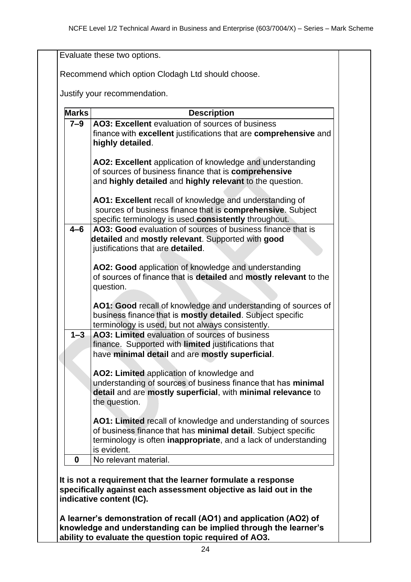| <b>Marks</b> | <b>Description</b>                                                                                                                                                                                                       |
|--------------|--------------------------------------------------------------------------------------------------------------------------------------------------------------------------------------------------------------------------|
| $7 - 9$      | AO3: Excellent evaluation of sources of business<br>finance with excellent justifications that are comprehensive and<br>highly detailed.                                                                                 |
|              | AO2: Excellent application of knowledge and understanding<br>of sources of business finance that is comprehensive<br>and highly detailed and highly relevant to the question.                                            |
|              | AO1: Excellent recall of knowledge and understanding of<br>sources of business finance that is comprehensive. Subject<br>specific terminology is used consistently throughout.                                           |
| $4 - 6$      | AO3: Good evaluation of sources of business finance that is<br>detailed and mostly relevant. Supported with good<br>justifications that are detailed.                                                                    |
|              | AO2: Good application of knowledge and understanding<br>of sources of finance that is detailed and mostly relevant to the<br>question.                                                                                   |
|              | AO1: Good recall of knowledge and understanding of sources of<br>business finance that is mostly detailed. Subject specific<br>terminology is used, but not always consistently.                                         |
| $1 - 3$      | AO3: Limited evaluation of sources of business<br>finance. Supported with limited justifications that<br>have minimal detail and are mostly superficial.                                                                 |
|              | AO2: Limited application of knowledge and<br>understanding of sources of business finance that has minimal<br>detail and are mostly superficial, with minimal relevance to<br>the question.                              |
|              | AO1: Limited recall of knowledge and understanding of sources<br>of business finance that has minimal detail. Subject specific<br>terminology is often <i>inappropriate</i> , and a lack of understanding<br>is evident. |
| $\mathbf 0$  | No relevant material.                                                                                                                                                                                                    |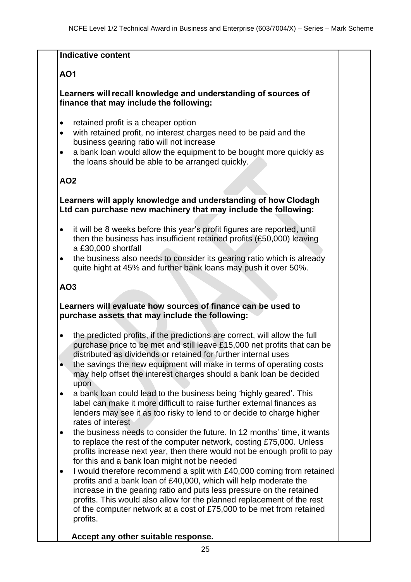#### **Indicative content**

#### **AO1**

#### **Learners will recall knowledge and understanding of sources of finance that may include the following:**

- retained profit is a cheaper option
- with retained profit, no interest charges need to be paid and the business gearing ratio will not increase
- a bank loan would allow the equipment to be bought more quickly as the loans should be able to be arranged quickly.

#### **AO2**

#### **Learners will apply knowledge and understanding of how Clodagh Ltd can purchase new machinery that may include the following:**

- it will be 8 weeks before this year's profit figures are reported, until then the business has insufficient retained profits (£50,000) leaving a £30,000 shortfall
- the business also needs to consider its gearing ratio which is already quite hight at 45% and further bank loans may push it over 50%.

#### **AO3**

#### **Learners will evaluate how sources of finance can be used to purchase assets that may include the following:**

- the predicted profits, if the predictions are correct, will allow the full purchase price to be met and still leave £15,000 net profits that can be distributed as dividends or retained for further internal uses
- the savings the new equipment will make in terms of operating costs may help offset the interest charges should a bank loan be decided upon
- a bank loan could lead to the business being 'highly geared'. This label can make it more difficult to raise further external finances as lenders may see it as too risky to lend to or decide to charge higher rates of interest
- the business needs to consider the future. In 12 months' time, it wants to replace the rest of the computer network, costing £75,000. Unless profits increase next year, then there would not be enough profit to pay for this and a bank loan might not be needed
- I would therefore recommend a split with £40,000 coming from retained profits and a bank loan of £40,000, which will help moderate the increase in the gearing ratio and puts less pressure on the retained profits. This would also allow for the planned replacement of the rest of the computer network at a cost of £75,000 to be met from retained profits.

#### **Accept any other suitable response.**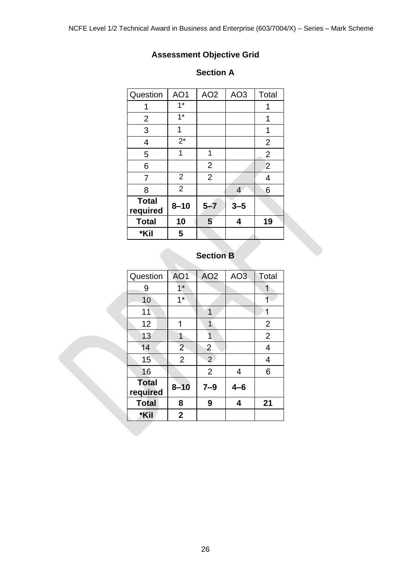# **Assessment Objective Grid**

#### **Section A**

| Question                 | AO1            | AO <sub>2</sub> | AO <sub>3</sub> | Total          |
|--------------------------|----------------|-----------------|-----------------|----------------|
| 1                        | $1*$           |                 |                 | 1              |
| $\overline{2}$           | $1*$           |                 |                 | 1              |
| 3                        | 1              |                 |                 | 1              |
| $\overline{4}$           | $2^*$          |                 |                 | $\overline{2}$ |
| 5                        | 1              | 1               |                 | $\overline{2}$ |
| 6                        |                | $\overline{2}$  |                 | $\overline{2}$ |
| 7                        | $\overline{2}$ | $\overline{2}$  |                 | 4              |
| 8                        | $\overline{2}$ |                 | $\overline{4}$  | 6              |
| <b>Total</b><br>required | $8 - 10$       | $5 - 7$         | $3 - 5$         |                |
| <b>Total</b>             | 10             | 5               | 4               | 19             |
| *Kil                     | 5              |                 |                 |                |

# **Section B**

| Question                 | AO <sub>1</sub> | AO <sub>2</sub> | AO <sub>3</sub> | Total          |
|--------------------------|-----------------|-----------------|-----------------|----------------|
| 9                        | $1*$            |                 |                 |                |
| 10                       | $1*$            |                 |                 |                |
| 11                       |                 | 1               |                 | 1              |
| 12                       | 1               | 1               |                 | $\overline{2}$ |
| 13                       | 1               | 1               |                 | $\overline{2}$ |
| 14                       | $\overline{2}$  | $\overline{2}$  |                 | $\overline{4}$ |
| 15                       | $\overline{2}$  | $\overline{2}$  |                 | 4              |
| 16                       |                 | $\overline{2}$  | 4               | 6              |
| <b>Total</b><br>required | $8 - 10$        | $7 - 9$         | $4 - 6$         |                |
| <b>Total</b>             | 8               | 9               | 4               | 21             |
| *Kil                     | $\mathbf{2}$    |                 |                 |                |